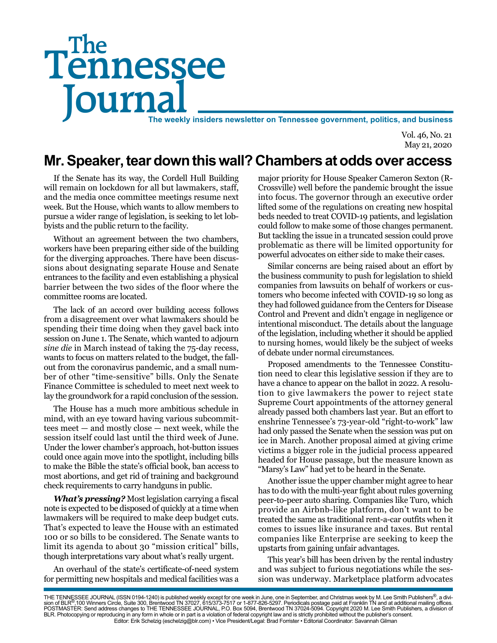# Tennessee **Journal** The weekly insiders newsletter on Tennessee government, politics, and business The

Vol. 46, No. 21 May 21, 2020

## **Mr. Speaker, tear down this wall? Chambers at odds over access**

If the Senate has its way, the Cordell Hull Building will remain on lockdown for all but lawmakers, staff, and the media once committee meetings resume next week. But the House, which wants to allow members to pursue a wider range of legislation, is seeking to let lobbyists and the public return to the facility.

Without an agreement between the two chambers, workers have been preparing either side of the building for the diverging approaches. There have been discussions about designating separate House and Senate entrances to the facility and even establishing a physical barrier between the two sides of the floor where the committee rooms are located.

The lack of an accord over building access follows from a disagreement over what lawmakers should be spending their time doing when they gavel back into session on June 1. The Senate, which wanted to adjourn *sine die* in March instead of taking the 75-day recess, wants to focus on matters related to the budget, the fallout from the coronavirus pandemic, and a small number of other "time-sensitive" bills. Only the Senate Finance Committee is scheduled to meet next week to lay the groundwork for a rapid conclusion of the session.

The House has a much more ambitious schedule in mind, with an eye toward having various subcommittees meet — and mostly close — next week, while the session itself could last until the third week of June. Under the lower chamber's approach, hot-button issues could once again move into the spotlight, including bills to make the Bible the state's official book, ban access to most abortions, and get rid of training and background check requirements to carry handguns in public.

*What's pressing?* Most legislation carrying a fiscal note is expected to be disposed of quickly at a time when lawmakers will be required to make deep budget cuts. That's expected to leave the House with an estimated 100 or so bills to be considered. The Senate wants to limit its agenda to about 30 "mission critical" bills, though interpretations vary about what's really urgent.

An overhaul of the state's certificate-of-need system for permitting new hospitals and medical facilities was a

major priority for House Speaker Cameron Sexton (R-Crossville) well before the pandemic brought the issue into focus. The governor through an executive order lifted some of the regulations on creating new hospital beds needed to treat COVID-19 patients, and legislation could follow to make some of those changes permanent. But tackling the issue in a truncated session could prove problematic as there will be limited opportunity for powerful advocates on either side to make their cases.

Similar concerns are being raised about an effort by the business community to push for legislation to shield companies from lawsuits on behalf of workers or customers who become infected with COVID-19 so long as they had followed guidance from the Centers for Disease Control and Prevent and didn't engage in negligence or intentional misconduct. The details about the language of the legislation, including whether it should be applied to nursing homes, would likely be the subject of weeks of debate under normal circumstances.

Proposed amendments to the Tennessee Constitution need to clear this legislative session if they are to have a chance to appear on the ballot in 2022. A resolution to give lawmakers the power to reject state Supreme Court appointments of the attorney general already passed both chambers last year. But an effort to enshrine Tennessee's 73-year-old "right-to-work" law had only passed the Senate when the session was put on ice in March. Another proposal aimed at giving crime victims a bigger role in the judicial process appeared headed for House passage, but the measure known as "Marsy's Law" had yet to be heard in the Senate.

Another issue the upper chamber might agree to hear has to do with the multi-year fight about rules governing peer-to-peer auto sharing. Companies like Turo, which provide an Airbnb-like platform, don't want to be treated the same as traditional rent-a-car outfits when it comes to issues like insurance and taxes. But rental companies like Enterprise are seeking to keep the upstarts from gaining unfair advantages.

This year's bill has been driven by the rental industry and was subject to furious negotiations while the session was underway. Marketplace platform advocates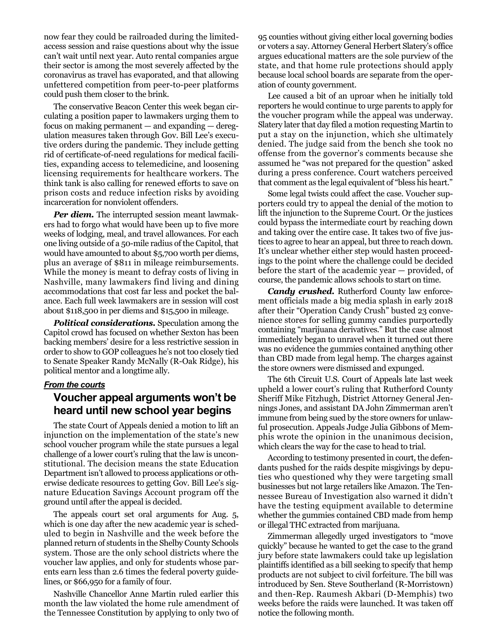now fear they could be railroaded during the limitedaccess session and raise questions about why the issue can't wait until next year. Auto rental companies argue their sector is among the most severely affected by the coronavirus as travel has evaporated, and that allowing unfettered competition from peer-to-peer platforms could push them closer to the brink.

The conservative Beacon Center this week began circulating a position paper to lawmakers urging them to focus on making permanent — and expanding — deregulation measures taken through Gov. Bill Lee's executive orders during the pandemic. They include getting rid of certificate-of-need regulations for medical facilities, expanding access to telemedicine, and loosening licensing requirements for healthcare workers. The think tank is also calling for renewed efforts to save on prison costs and reduce infection risks by avoiding incarceration for nonviolent offenders.

*Per diem.* The interrupted session meant lawmakers had to forgo what would have been up to five more weeks of lodging, meal, and travel allowances. For each one living outside of a 50-mile radius of the Capitol, that would have amounted to about \$5,700 worth per diems, plus an average of \$811 in mileage reimbursements. While the money is meant to defray costs of living in Nashville, many lawmakers find living and dining accommodations that cost far less and pocket the balance. Each full week lawmakers are in session will cost about \$118,500 in per diems and \$15,500 in mileage.

*Political considerations.* Speculation among the Capitol crowd has focused on whether Sexton has been backing members' desire for a less restrictive session in order to show to GOP colleagues he's not too closely tied to Senate Speaker Randy McNally (R-Oak Ridge), his political mentor and a longtime ally.

#### *From the courts*

#### **Voucher appeal arguments won't be heard until new school year begins**

The state Court of Appeals denied a motion to lift an injunction on the implementation of the state's new school voucher program while the state pursues a legal challenge of a lower court's ruling that the law is unconstitutional. The decision means the state Education Department isn't allowed to process applications or otherwise dedicate resources to getting Gov. Bill Lee's signature Education Savings Account program off the ground until after the appeal is decided.

The appeals court set oral arguments for Aug. 5, which is one day after the new academic year is scheduled to begin in Nashville and the week before the planned return of students in the Shelby County Schools system. Those are the only school districts where the voucher law applies, and only for students whose parents earn less than 2.6 times the federal poverty guidelines, or \$66,950 for a family of four.

Nashville Chancellor Anne Martin ruled earlier this month the law violated the home rule amendment of the Tennessee Constitution by applying to only two of

95 counties without giving either local governing bodies or voters a say. Attorney General Herbert Slatery's office argues educational matters are the sole purview of the state, and that home rule protections should apply because local school boards are separate from the operation of county government.

Lee caused a bit of an uproar when he initially told reporters he would continue to urge parents to apply for the voucher program while the appeal was underway. Slatery later that day filed a motion requesting Martin to put a stay on the injunction, which she ultimately denied. The judge said from the bench she took no offense from the governor's comments because she assumed he "was not prepared for the question" asked during a press conference. Court watchers perceived that comment as the legal equivalent of "bless his heart."

Some legal twists could affect the case. Voucher supporters could try to appeal the denial of the motion to lift the injunction to the Supreme Court. Or the justices could bypass the intermediate court by reaching down and taking over the entire case. It takes two of five justices to agree to hear an appeal, but three to reach down. It's unclear whether either step would hasten proceedings to the point where the challenge could be decided before the start of the academic year — provided, of course, the pandemic allows schools to start on time.

*Candy crushed.* Rutherford County law enforcement officials made a big media splash in early 2018 after their "Operation Candy Crush" busted 23 convenience stores for selling gummy candies purportedly containing "marijuana derivatives." But the case almost immediately began to unravel when it turned out there was no evidence the gummies contained anything other than CBD made from legal hemp. The charges against the store owners were dismissed and expunged.

The 6th Circuit U.S. Court of Appeals late last week upheld a lower court's ruling that Rutherford County Sheriff Mike Fitzhugh, District Attorney General Jennings Jones, and assistant DA John Zimmerman aren't immune from being sued by the store owners for unlawful prosecution. Appeals Judge Julia Gibbons of Memphis wrote the opinion in the unanimous decision, which clears the way for the case to head to trial.

According to testimony presented in court, the defendants pushed for the raids despite misgivings by deputies who questioned why they were targeting small businesses but not large retailers like Amazon. The Tennessee Bureau of Investigation also warned it didn't have the testing equipment available to determine whether the gummies contained CBD made from hemp or illegal THC extracted from marijuana.

Zimmerman allegedly urged investigators to "move quickly" because he wanted to get the case to the grand jury before state lawmakers could take up legislation plaintiffs identified as a bill seeking to specify that hemp products are not subject to civil forfeiture. The bill was introduced by Sen. Steve Southerland (R-Morristown) and then-Rep. Raumesh Akbari (D-Memphis) two weeks before the raids were launched. It was taken off notice the following month.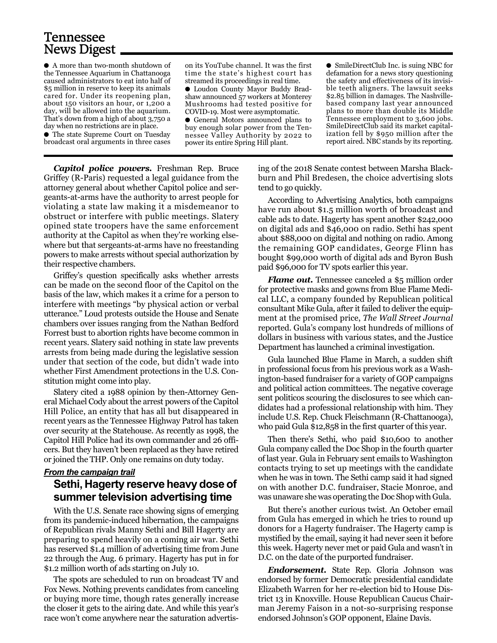## Tennessee News Digest

● A more than two-month shutdown of the Tennessee Aquarium in Chattanooga caused administrators to eat into half of \$5 million in reserve to keep its animals cared for. Under its reopening plan, about 150 visitors an hour, or 1,200 a day, will be allowed into the aquarium. That's down from a high of about 3,750 a day when no restrictions are in place.

● The state Supreme Court on Tuesday broadcast oral arguments in three cases

on its YouTube channel. It was the first time the state's highest court has streamed its proceedings in real time. ● Loudon County Mayor Buddy Bradshaw announced 57 workers at Monterey Mushrooms had tested positive for COVID-19. Most were asymptomatic. ● General Motors announced plans to buy enough solar power from the Ten-

nessee Valley Authority by 2022 to power its entire Spring Hill plant.

● SmileDirectClub Inc. is suing NBC for defamation for a news story questioning the safety and effectiveness of its invisible teeth aligners. The lawsuit seeks \$2.85 billion in damages. The Nashvillebased company last year announced plans to more than double its Middle Tennessee employment to 3,600 jobs. SmileDirectClub said its market capitalization fell by \$950 million after the report aired. NBC stands by its reporting.

*Capitol police powers.* Freshman Rep. Bruce Griffey (R-Paris) requested a legal guidance from the attorney general about whether Capitol police and sergeants-at-arms have the authority to arrest people for violating a state law making it a misdemeanor to obstruct or interfere with public meetings. Slatery opined state troopers have the same enforcement authority at the Capitol as when they're working elsewhere but that sergeants-at-arms have no freestanding powers to make arrests without special authorization by their respective chambers.

Griffey's question specifically asks whether arrests can be made on the second floor of the Capitol on the basis of the law, which makes it a crime for a person to interfere with meetings "by physical action or verbal utterance." Loud protests outside the House and Senate chambers over issues ranging from the Nathan Bedford Forrest bust to abortion rights have become common in recent years. Slatery said nothing in state law prevents arrests from being made during the legislative session under that section of the code, but didn't wade into whether First Amendment protections in the U.S. Constitution might come into play.

Slatery cited a 1988 opinion by then-Attorney General Michael Cody about the arrest powers of the Capitol Hill Police, an entity that has all but disappeared in recent years as the Tennessee Highway Patrol has taken over security at the Statehouse. As recently as 1998, the Capitol Hill Police had its own commander and 26 officers. But they haven't been replaced as they have retired or joined the THP. Only one remains on duty today.

#### *From the campaign trail*

#### **Sethi, Hagerty reserve heavy dose of summer television advertising time**

With the U.S. Senate race showing signs of emerging from its pandemic-induced hibernation, the campaigns of Republican rivals Manny Sethi and Bill Hagerty are preparing to spend heavily on a coming air war. Sethi has reserved \$1.4 million of advertising time from June 22 through the Aug. 6 primary. Hagerty has put in for \$1.2 million worth of ads starting on July 10.

The spots are scheduled to run on broadcast TV and Fox News. Nothing prevents candidates from canceling or buying more time, though rates generally increase the closer it gets to the airing date. And while this year's race won't come anywhere near the saturation advertising of the 2018 Senate contest between Marsha Blackburn and Phil Bredesen, the choice advertising slots tend to go quickly.

According to Advertising Analytics, both campaigns have run about \$1.5 million worth of broadcast and cable ads to date. Hagerty has spent another \$242,000 on digital ads and \$46,000 on radio. Sethi has spent about \$88,000 on digital and nothing on radio. Among the remaining GOP candidates, George Flinn has bought \$99,000 worth of digital ads and Byron Bush paid \$96,000 for TV spots earlier this year.

*Flame out.* Tennessee canceled a \$5 million order for protective masks and gowns from Blue Flame Medical LLC, a company founded by Republican political consultant Mike Gula, after it failed to deliver the equipment at the promised price, *The Wall Street Journal* reported. Gula's company lost hundreds of millions of dollars in business with various states, and the Justice Department has launched a criminal investigation.

Gula launched Blue Flame in March, a sudden shift in professional focus from his previous work as a Washington-based fundraiser for a variety of GOP campaigns and political action committees. The negative coverage sent politicos scouring the disclosures to see which candidates had a professional relationship with him. They include U.S. Rep. Chuck Fleischmann (R-Chattanooga), who paid Gula \$12,858 in the first quarter of this year.

Then there's Sethi, who paid \$10,600 to another Gula company called the Doc Shop in the fourth quarter of last year. Gula in February sent emails to Washington contacts trying to set up meetings with the candidate when he was in town. The Sethi camp said it had signed on with another D.C. fundraiser, Stacie Monroe, and was unaware she was operating the Doc Shop with Gula.

But there's another curious twist. An October email from Gula has emerged in which he tries to round up donors for a Hagerty fundraiser. The Hagerty camp is mystified by the email, saying it had never seen it before this week. Hagerty never met or paid Gula and wasn't in D.C. on the date of the purported fundraiser.

*Endorsement.* State Rep. Gloria Johnson was endorsed by former Democratic presidential candidate Elizabeth Warren for her re-election bid to House District 13 in Knoxville. House Republican Caucus Chairman Jeremy Faison in a not-so-surprising response endorsed Johnson's GOP opponent, Elaine Davis.